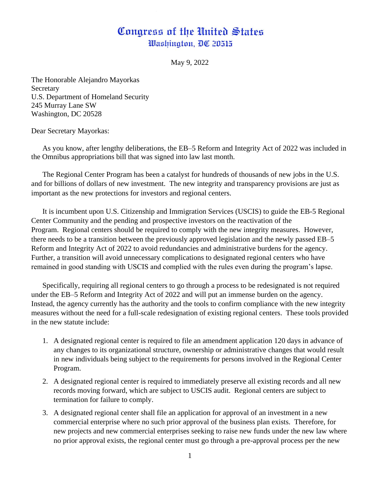## Congress of the United States Washington, DC 20515

May 9, 2022

The Honorable Alejandro Mayorkas **Secretary** U.S. Department of Homeland Security 245 Murray Lane SW Washington, DC 20528

Dear Secretary Mayorkas:

As you know, after lengthy deliberations, the EB–5 Reform and Integrity Act of 2022 was included in the Omnibus appropriations bill that was signed into law last month.

The Regional Center Program has been a catalyst for hundreds of thousands of new jobs in the U.S. and for billions of dollars of new investment. The new integrity and transparency provisions are just as important as the new protections for investors and regional centers.

It is incumbent upon U.S. Citizenship and Immigration Services (USCIS) to guide the EB-5 Regional Center Community and the pending and prospective investors on the reactivation of the Program. Regional centers should be required to comply with the new integrity measures. However, there needs to be a transition between the previously approved legislation and the newly passed EB–5 Reform and Integrity Act of 2022 to avoid redundancies and administrative burdens for the agency. Further, a transition will avoid unnecessary complications to designated regional centers who have remained in good standing with USCIS and complied with the rules even during the program's lapse.

Specifically, requiring all regional centers to go through a process to be redesignated is not required under the EB–5 Reform and Integrity Act of 2022 and will put an immense burden on the agency. Instead, the agency currently has the authority and the tools to confirm compliance with the new integrity measures without the need for a full-scale redesignation of existing regional centers. These tools provided in the new statute include:

- 1. A designated regional center is required to file an amendment application 120 days in advance of any changes to its organizational structure, ownership or administrative changes that would result in new individuals being subject to the requirements for persons involved in the Regional Center Program.
- 2. A designated regional center is required to immediately preserve all existing records and all new records moving forward, which are subject to USCIS audit. Regional centers are subject to termination for failure to comply.
- 3. A designated regional center shall file an application for approval of an investment in a new commercial enterprise where no such prior approval of the business plan exists. Therefore, for new projects and new commercial enterprises seeking to raise new funds under the new law where no prior approval exists, the regional center must go through a pre-approval process per the new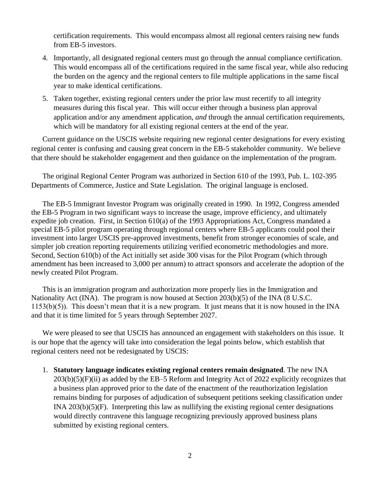certification requirements. This would encompass almost all regional centers raising new funds from EB-5 investors.

- 4. Importantly, all designated regional centers must go through the annual compliance certification. This would encompass all of the certifications required in the same fiscal year, while also reducing the burden on the agency and the regional centers to file multiple applications in the same fiscal year to make identical certifications.
- 5. Taken together, existing regional centers under the prior law must recertify to all integrity measures during this fiscal year. This will occur either through a business plan approval application and/or any amendment application, *and* through the annual certification requirements, which will be mandatory for all existing regional centers at the end of the year.

Current guidance on the USCIS website requiring new regional center designations for every existing regional center is confusing and causing great concern in the EB-5 stakeholder community. We believe that there should be stakeholder engagement and then guidance on the implementation of the program.

The original Regional Center Program was authorized in Section 610 of the 1993, Pub. L. 102-395 Departments of Commerce, Justice and State Legislation. The original language is enclosed.

The EB-5 Immigrant Investor Program was originally created in 1990. In 1992, Congress amended the EB-5 Program in two significant ways to increase the usage, improve efficiency, and ultimately expedite job creation. First, in Section 610(a) of the 1993 Appropriations Act, Congress mandated a special EB-5 pilot program operating through regional centers where EB-5 applicants could pool their investment into larger USCIS pre-approved investments, benefit from stronger economies of scale, and simpler job creation reporting requirements utilizing verified econometric methodologies and more. Second, Section 610(b) of the Act initially set aside 300 visas for the Pilot Program (which through amendment has been increased to 3,000 per annum) to attract sponsors and accelerate the adoption of the newly created Pilot Program.

This is an immigration program and authorization more properly lies in the Immigration and Nationality Act (INA). The program is now housed at Section 203(b)(5) of the INA (8 U.S.C. 1153(b)(5)). This doesn't mean that it is a new program. It just means that it is now housed in the INA and that it is time limited for 5 years through September 2027.

We were pleased to see that USCIS has announced an engagement with stakeholders on this issue. It is our hope that the agency will take into consideration the legal points below, which establish that regional centers need not be redesignated by USCIS:

1. **Statutory language indicates existing regional centers remain designated**. The new INA 203(b)(5)(F)(ii) as added by the EB–5 Reform and Integrity Act of 2022 explicitly recognizes that a business plan approved prior to the date of the enactment of the reauthorization legislation remains binding for purposes of adjudication of subsequent petitions seeking classification under INA 203(b)(5)(F). Interpreting this law as nullifying the existing regional center designations would directly contravene this language recognizing previously approved business plans submitted by existing regional centers.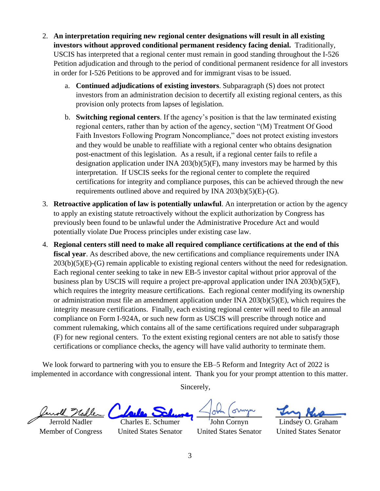- 2. **An interpretation requiring new regional center designations will result in all existing investors without approved conditional permanent residency facing denial.** Traditionally, USCIS has interpreted that a regional center must remain in good standing throughout the I-526 Petition adjudication and through to the period of conditional permanent residence for all investors in order for I-526 Petitions to be approved and for immigrant visas to be issued.
	- a. **Continued adjudications of existing investors**. Subparagraph (S) does not protect investors from an administration decision to decertify all existing regional centers, as this provision only protects from lapses of legislation.
	- b. **Switching regional centers**. If the agency's position is that the law terminated existing regional centers, rather than by action of the agency, section "(M) Treatment Of Good Faith Investors Following Program Noncompliance," does not protect existing investors and they would be unable to reaffiliate with a regional center who obtains designation post-enactment of this legislation. As a result, if a regional center fails to refile a designation application under INA 203(b)(5)(F), many investors may be harmed by this interpretation. If USCIS seeks for the regional center to complete the required certifications for integrity and compliance purposes, this can be achieved through the new requirements outlined above and required by INA  $203(b)(5)(E)-(G)$ .
- 3. **Retroactive application of law is potentially unlawful**. An interpretation or action by the agency to apply an existing statute retroactively without the explicit authorization by Congress has previously been found to be unlawful under the Administrative Procedure Act and would potentially violate Due Process principles under existing case law.
- 4. **Regional centers still need to make all required compliance certifications at the end of this fiscal year**. As described above, the new certifications and compliance requirements under INA 203(b)(5)(E)-(G) remain applicable to existing regional centers without the need for redesignation. Each regional center seeking to take in new EB-5 investor capital without prior approval of the business plan by USCIS will require a project pre-approval application under INA 203(b)(5)(F), which requires the integrity measure certifications. Each regional center modifying its ownership or administration must file an amendment application under INA 203(b)(5)(E), which requires the integrity measure certifications. Finally, each existing regional center will need to file an annual compliance on Form I-924A, or such new form as USCIS will prescribe through notice and comment rulemaking, which contains all of the same certifications required under subparagraph (F) for new regional centers. To the extent existing regional centers are not able to satisfy those certifications or compliance checks, the agency will have valid authority to terminate them.

We look forward to partnering with you to ensure the EB–5 Reform and Integrity Act of 2022 is implemented in accordance with congressional intent. Thank you for your prompt attention to this matter.

Sincerely,

Jerrold Nadler Member of Congress

Charles E. Schumer United States Senator

John Cornyn United States Senator

Lindsey O. Graham United States Senator